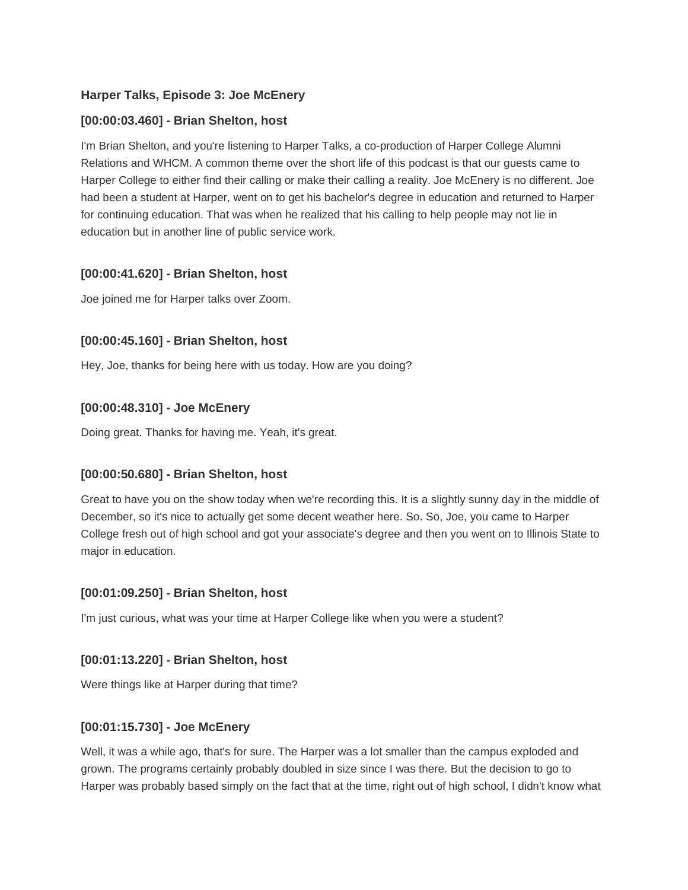# **Harper Talks, Episode 3: Joe McEnery**

### **[00:00:03.460] - Brian Shelton, host**

I'm Brian Shelton, and you're listening to Harper Talks, a co-production of Harper College Alumni Relations and WHCM. A common theme over the short life of this podcast is that our guests came to Harper College to either find their calling or make their calling a reality. Joe McEnery is no different. Joe had been a student at Harper, went on to get his bachelor's degree in education and returned to Harper for continuing education. That was when he realized that his calling to help people may not lie in education but in another line of public service work.

### **[00:00:41.620] - Brian Shelton, host**

Joe joined me for Harper talks over Zoom.

# **[00:00:45.160] - Brian Shelton, host**

Hey, Joe, thanks for being here with us today. How are you doing?

### **[00:00:48.310] - Joe McEnery**

Doing great. Thanks for having me. Yeah, it's great.

#### **[00:00:50.680] - Brian Shelton, host**

Great to have you on the show today when we're recording this. It is a slightly sunny day in the middle of December, so it's nice to actually get some decent weather here. So. So, Joe, you came to Harper College fresh out of high school and got your associate's degree and then you went on to Illinois State to major in education.

#### **[00:01:09.250] - Brian Shelton, host**

I'm just curious, what was your time at Harper College like when you were a student?

#### **[00:01:13.220] - Brian Shelton, host**

Were things like at Harper during that time?

#### **[00:01:15.730] - Joe McEnery**

Well, it was a while ago, that's for sure. The Harper was a lot smaller than the campus exploded and grown. The programs certainly probably doubled in size since I was there. But the decision to go to Harper was probably based simply on the fact that at the time, right out of high school, I didn't know what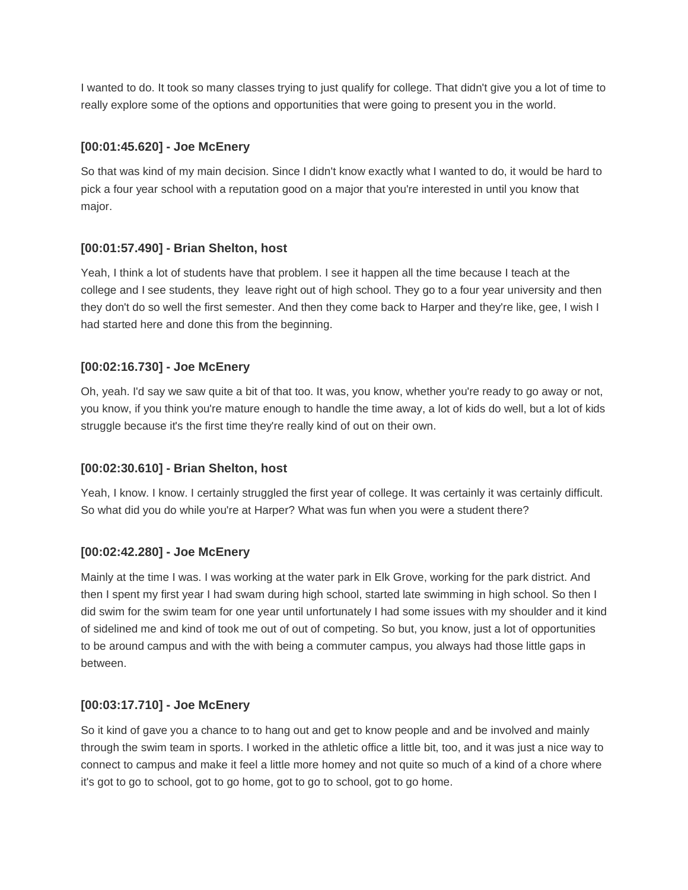I wanted to do. It took so many classes trying to just qualify for college. That didn't give you a lot of time to really explore some of the options and opportunities that were going to present you in the world.

# **[00:01:45.620] - Joe McEnery**

So that was kind of my main decision. Since I didn't know exactly what I wanted to do, it would be hard to pick a four year school with a reputation good on a major that you're interested in until you know that major.

# **[00:01:57.490] - Brian Shelton, host**

Yeah, I think a lot of students have that problem. I see it happen all the time because I teach at the college and I see students, they leave right out of high school. They go to a four year university and then they don't do so well the first semester. And then they come back to Harper and they're like, gee, I wish I had started here and done this from the beginning.

# **[00:02:16.730] - Joe McEnery**

Oh, yeah. I'd say we saw quite a bit of that too. It was, you know, whether you're ready to go away or not, you know, if you think you're mature enough to handle the time away, a lot of kids do well, but a lot of kids struggle because it's the first time they're really kind of out on their own.

# **[00:02:30.610] - Brian Shelton, host**

Yeah, I know. I know. I certainly struggled the first year of college. It was certainly it was certainly difficult. So what did you do while you're at Harper? What was fun when you were a student there?

# **[00:02:42.280] - Joe McEnery**

Mainly at the time I was. I was working at the water park in Elk Grove, working for the park district. And then I spent my first year I had swam during high school, started late swimming in high school. So then I did swim for the swim team for one year until unfortunately I had some issues with my shoulder and it kind of sidelined me and kind of took me out of out of competing. So but, you know, just a lot of opportunities to be around campus and with the with being a commuter campus, you always had those little gaps in between.

# **[00:03:17.710] - Joe McEnery**

So it kind of gave you a chance to to hang out and get to know people and and be involved and mainly through the swim team in sports. I worked in the athletic office a little bit, too, and it was just a nice way to connect to campus and make it feel a little more homey and not quite so much of a kind of a chore where it's got to go to school, got to go home, got to go to school, got to go home.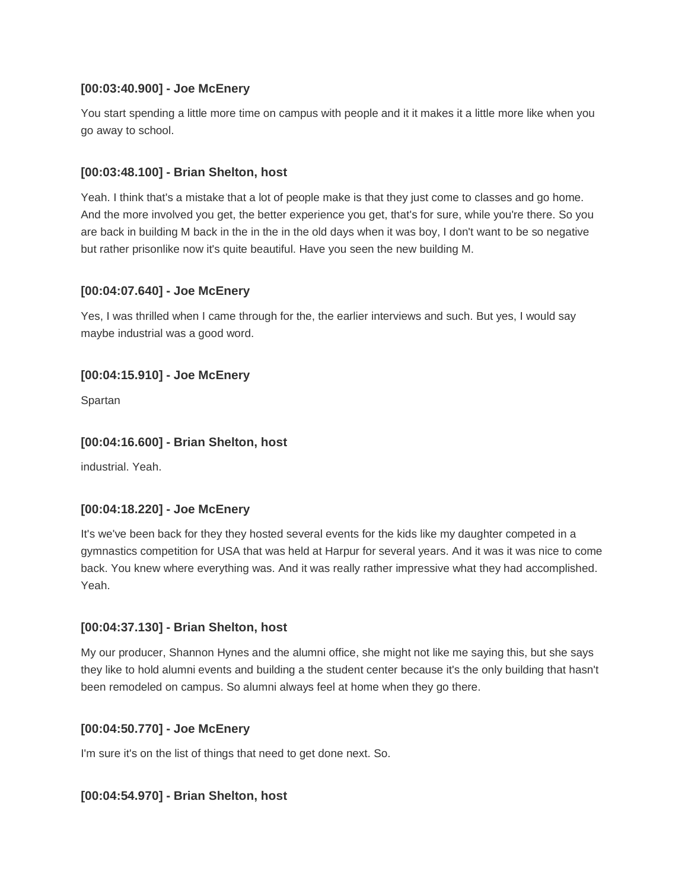### **[00:03:40.900] - Joe McEnery**

You start spending a little more time on campus with people and it it makes it a little more like when you go away to school.

### **[00:03:48.100] - Brian Shelton, host**

Yeah. I think that's a mistake that a lot of people make is that they just come to classes and go home. And the more involved you get, the better experience you get, that's for sure, while you're there. So you are back in building M back in the in the in the old days when it was boy, I don't want to be so negative but rather prisonlike now it's quite beautiful. Have you seen the new building M.

### **[00:04:07.640] - Joe McEnery**

Yes, I was thrilled when I came through for the, the earlier interviews and such. But yes, I would say maybe industrial was a good word.

### **[00:04:15.910] - Joe McEnery**

Spartan

### **[00:04:16.600] - Brian Shelton, host**

industrial. Yeah.

# **[00:04:18.220] - Joe McEnery**

It's we've been back for they they hosted several events for the kids like my daughter competed in a gymnastics competition for USA that was held at Harpur for several years. And it was it was nice to come back. You knew where everything was. And it was really rather impressive what they had accomplished. Yeah.

#### **[00:04:37.130] - Brian Shelton, host**

My our producer, Shannon Hynes and the alumni office, she might not like me saying this, but she says they like to hold alumni events and building a the student center because it's the only building that hasn't been remodeled on campus. So alumni always feel at home when they go there.

#### **[00:04:50.770] - Joe McEnery**

I'm sure it's on the list of things that need to get done next. So.

#### **[00:04:54.970] - Brian Shelton, host**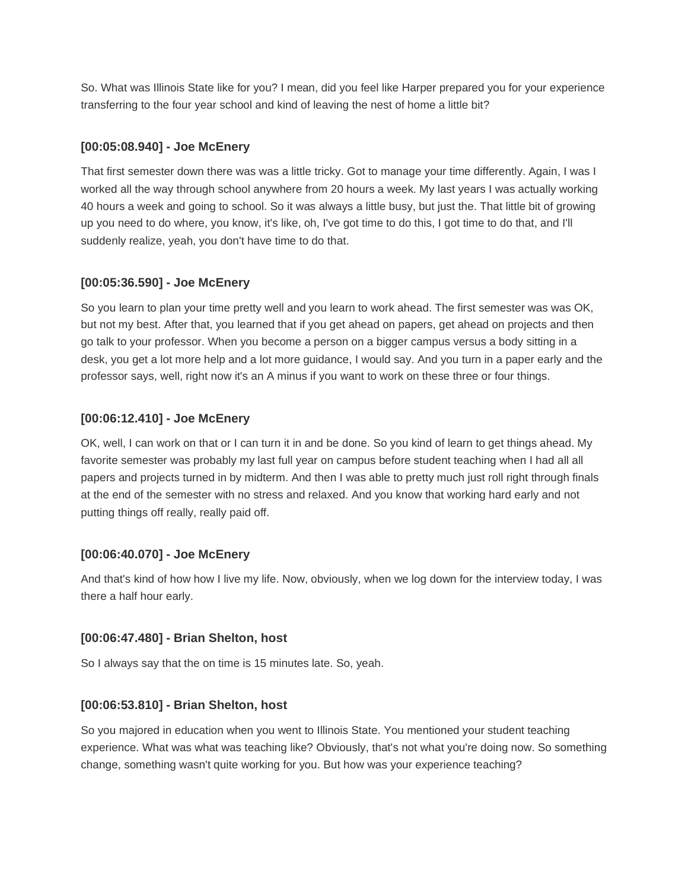So. What was Illinois State like for you? I mean, did you feel like Harper prepared you for your experience transferring to the four year school and kind of leaving the nest of home a little bit?

### **[00:05:08.940] - Joe McEnery**

That first semester down there was was a little tricky. Got to manage your time differently. Again, I was I worked all the way through school anywhere from 20 hours a week. My last years I was actually working 40 hours a week and going to school. So it was always a little busy, but just the. That little bit of growing up you need to do where, you know, it's like, oh, I've got time to do this, I got time to do that, and I'll suddenly realize, yeah, you don't have time to do that.

# **[00:05:36.590] - Joe McEnery**

So you learn to plan your time pretty well and you learn to work ahead. The first semester was was OK, but not my best. After that, you learned that if you get ahead on papers, get ahead on projects and then go talk to your professor. When you become a person on a bigger campus versus a body sitting in a desk, you get a lot more help and a lot more guidance, I would say. And you turn in a paper early and the professor says, well, right now it's an A minus if you want to work on these three or four things.

### **[00:06:12.410] - Joe McEnery**

OK, well, I can work on that or I can turn it in and be done. So you kind of learn to get things ahead. My favorite semester was probably my last full year on campus before student teaching when I had all all papers and projects turned in by midterm. And then I was able to pretty much just roll right through finals at the end of the semester with no stress and relaxed. And you know that working hard early and not putting things off really, really paid off.

#### **[00:06:40.070] - Joe McEnery**

And that's kind of how how I live my life. Now, obviously, when we log down for the interview today, I was there a half hour early.

#### **[00:06:47.480] - Brian Shelton, host**

So I always say that the on time is 15 minutes late. So, yeah.

#### **[00:06:53.810] - Brian Shelton, host**

So you majored in education when you went to Illinois State. You mentioned your student teaching experience. What was what was teaching like? Obviously, that's not what you're doing now. So something change, something wasn't quite working for you. But how was your experience teaching?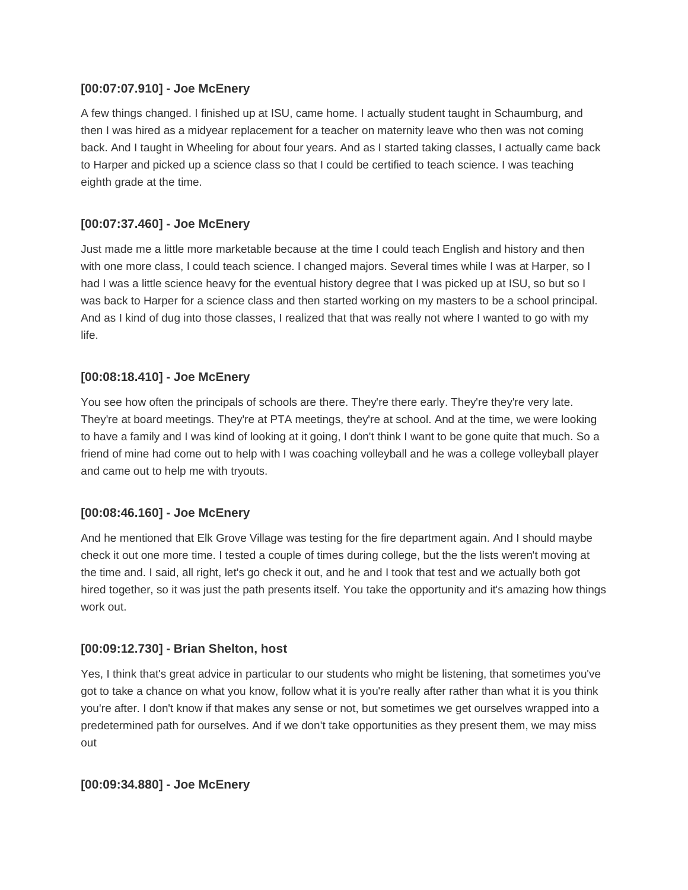### **[00:07:07.910] - Joe McEnery**

A few things changed. I finished up at ISU, came home. I actually student taught in Schaumburg, and then I was hired as a midyear replacement for a teacher on maternity leave who then was not coming back. And I taught in Wheeling for about four years. And as I started taking classes, I actually came back to Harper and picked up a science class so that I could be certified to teach science. I was teaching eighth grade at the time.

# **[00:07:37.460] - Joe McEnery**

Just made me a little more marketable because at the time I could teach English and history and then with one more class, I could teach science. I changed majors. Several times while I was at Harper, so I had I was a little science heavy for the eventual history degree that I was picked up at ISU, so but so I was back to Harper for a science class and then started working on my masters to be a school principal. And as I kind of dug into those classes, I realized that that was really not where I wanted to go with my life.

# **[00:08:18.410] - Joe McEnery**

You see how often the principals of schools are there. They're there early. They're they're very late. They're at board meetings. They're at PTA meetings, they're at school. And at the time, we were looking to have a family and I was kind of looking at it going, I don't think I want to be gone quite that much. So a friend of mine had come out to help with I was coaching volleyball and he was a college volleyball player and came out to help me with tryouts.

#### **[00:08:46.160] - Joe McEnery**

And he mentioned that Elk Grove Village was testing for the fire department again. And I should maybe check it out one more time. I tested a couple of times during college, but the the lists weren't moving at the time and. I said, all right, let's go check it out, and he and I took that test and we actually both got hired together, so it was just the path presents itself. You take the opportunity and it's amazing how things work out.

# **[00:09:12.730] - Brian Shelton, host**

Yes, I think that's great advice in particular to our students who might be listening, that sometimes you've got to take a chance on what you know, follow what it is you're really after rather than what it is you think you're after. I don't know if that makes any sense or not, but sometimes we get ourselves wrapped into a predetermined path for ourselves. And if we don't take opportunities as they present them, we may miss out

#### **[00:09:34.880] - Joe McEnery**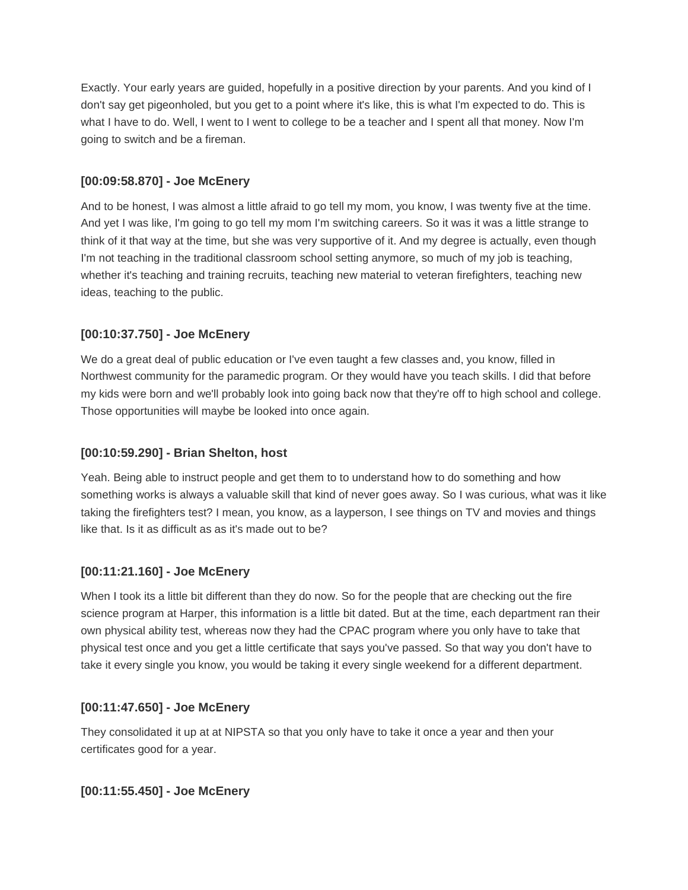Exactly. Your early years are guided, hopefully in a positive direction by your parents. And you kind of I don't say get pigeonholed, but you get to a point where it's like, this is what I'm expected to do. This is what I have to do. Well, I went to I went to college to be a teacher and I spent all that money. Now I'm going to switch and be a fireman.

### **[00:09:58.870] - Joe McEnery**

And to be honest, I was almost a little afraid to go tell my mom, you know, I was twenty five at the time. And yet I was like, I'm going to go tell my mom I'm switching careers. So it was it was a little strange to think of it that way at the time, but she was very supportive of it. And my degree is actually, even though I'm not teaching in the traditional classroom school setting anymore, so much of my job is teaching, whether it's teaching and training recruits, teaching new material to veteran firefighters, teaching new ideas, teaching to the public.

# **[00:10:37.750] - Joe McEnery**

We do a great deal of public education or I've even taught a few classes and, you know, filled in Northwest community for the paramedic program. Or they would have you teach skills. I did that before my kids were born and we'll probably look into going back now that they're off to high school and college. Those opportunities will maybe be looked into once again.

### **[00:10:59.290] - Brian Shelton, host**

Yeah. Being able to instruct people and get them to to understand how to do something and how something works is always a valuable skill that kind of never goes away. So I was curious, what was it like taking the firefighters test? I mean, you know, as a layperson, I see things on TV and movies and things like that. Is it as difficult as as it's made out to be?

# **[00:11:21.160] - Joe McEnery**

When I took its a little bit different than they do now. So for the people that are checking out the fire science program at Harper, this information is a little bit dated. But at the time, each department ran their own physical ability test, whereas now they had the CPAC program where you only have to take that physical test once and you get a little certificate that says you've passed. So that way you don't have to take it every single you know, you would be taking it every single weekend for a different department.

#### **[00:11:47.650] - Joe McEnery**

They consolidated it up at at NIPSTA so that you only have to take it once a year and then your certificates good for a year.

#### **[00:11:55.450] - Joe McEnery**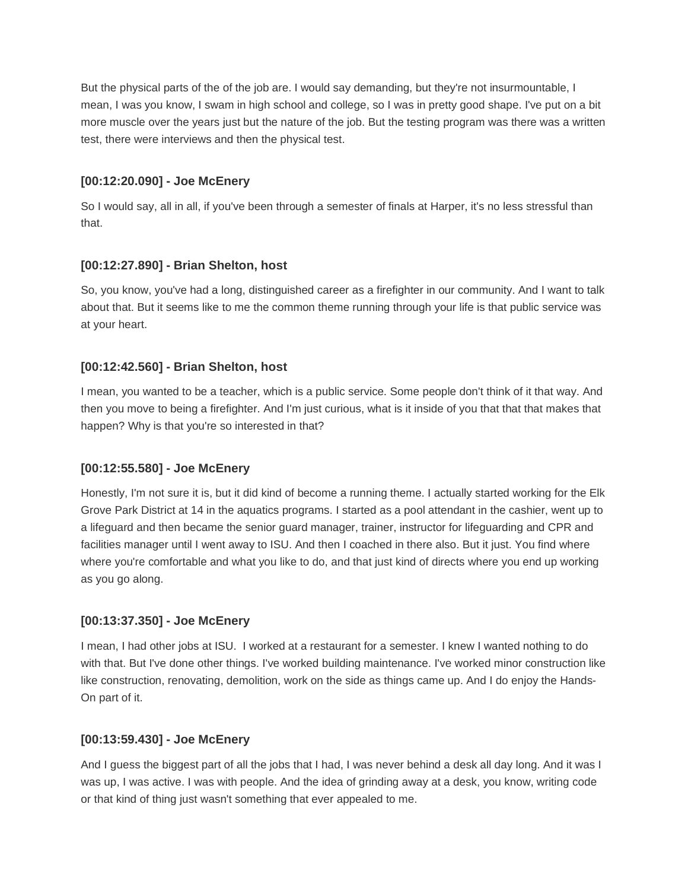But the physical parts of the of the job are. I would say demanding, but they're not insurmountable, I mean, I was you know, I swam in high school and college, so I was in pretty good shape. I've put on a bit more muscle over the years just but the nature of the job. But the testing program was there was a written test, there were interviews and then the physical test.

### **[00:12:20.090] - Joe McEnery**

So I would say, all in all, if you've been through a semester of finals at Harper, it's no less stressful than that.

### **[00:12:27.890] - Brian Shelton, host**

So, you know, you've had a long, distinguished career as a firefighter in our community. And I want to talk about that. But it seems like to me the common theme running through your life is that public service was at your heart.

### **[00:12:42.560] - Brian Shelton, host**

I mean, you wanted to be a teacher, which is a public service. Some people don't think of it that way. And then you move to being a firefighter. And I'm just curious, what is it inside of you that that that makes that happen? Why is that you're so interested in that?

# **[00:12:55.580] - Joe McEnery**

Honestly, I'm not sure it is, but it did kind of become a running theme. I actually started working for the Elk Grove Park District at 14 in the aquatics programs. I started as a pool attendant in the cashier, went up to a lifeguard and then became the senior guard manager, trainer, instructor for lifeguarding and CPR and facilities manager until I went away to ISU. And then I coached in there also. But it just. You find where where you're comfortable and what you like to do, and that just kind of directs where you end up working as you go along.

# **[00:13:37.350] - Joe McEnery**

I mean, I had other jobs at ISU. I worked at a restaurant for a semester. I knew I wanted nothing to do with that. But I've done other things. I've worked building maintenance. I've worked minor construction like like construction, renovating, demolition, work on the side as things came up. And I do enjoy the Hands-On part of it.

# **[00:13:59.430] - Joe McEnery**

And I guess the biggest part of all the jobs that I had, I was never behind a desk all day long. And it was I was up, I was active. I was with people. And the idea of grinding away at a desk, you know, writing code or that kind of thing just wasn't something that ever appealed to me.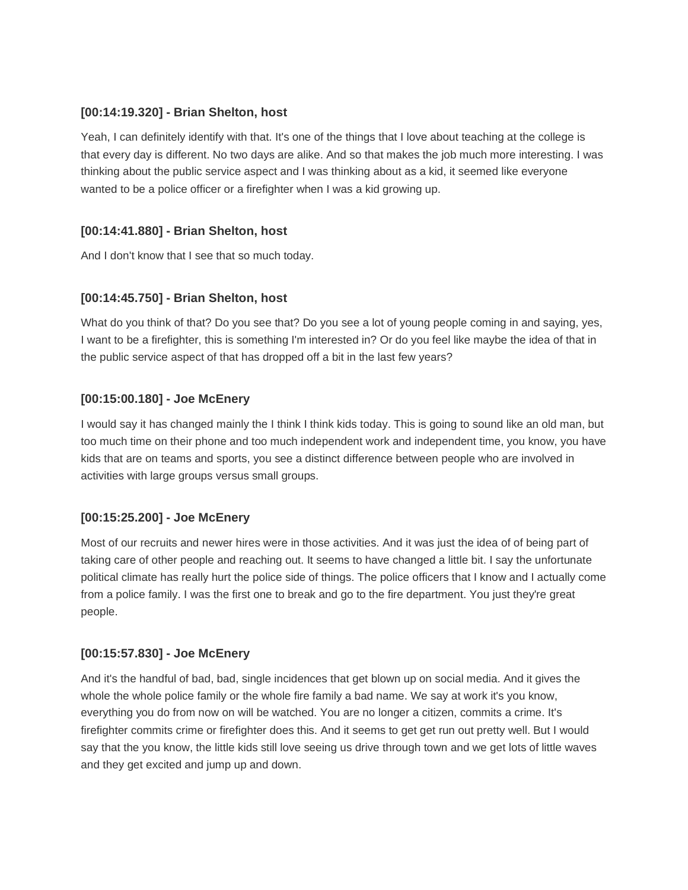### **[00:14:19.320] - Brian Shelton, host**

Yeah, I can definitely identify with that. It's one of the things that I love about teaching at the college is that every day is different. No two days are alike. And so that makes the job much more interesting. I was thinking about the public service aspect and I was thinking about as a kid, it seemed like everyone wanted to be a police officer or a firefighter when I was a kid growing up.

### **[00:14:41.880] - Brian Shelton, host**

And I don't know that I see that so much today.

### **[00:14:45.750] - Brian Shelton, host**

What do you think of that? Do you see that? Do you see a lot of young people coming in and saying, yes, I want to be a firefighter, this is something I'm interested in? Or do you feel like maybe the idea of that in the public service aspect of that has dropped off a bit in the last few years?

### **[00:15:00.180] - Joe McEnery**

I would say it has changed mainly the I think I think kids today. This is going to sound like an old man, but too much time on their phone and too much independent work and independent time, you know, you have kids that are on teams and sports, you see a distinct difference between people who are involved in activities with large groups versus small groups.

#### **[00:15:25.200] - Joe McEnery**

Most of our recruits and newer hires were in those activities. And it was just the idea of of being part of taking care of other people and reaching out. It seems to have changed a little bit. I say the unfortunate political climate has really hurt the police side of things. The police officers that I know and I actually come from a police family. I was the first one to break and go to the fire department. You just they're great people.

#### **[00:15:57.830] - Joe McEnery**

And it's the handful of bad, bad, single incidences that get blown up on social media. And it gives the whole the whole police family or the whole fire family a bad name. We say at work it's you know, everything you do from now on will be watched. You are no longer a citizen, commits a crime. It's firefighter commits crime or firefighter does this. And it seems to get get run out pretty well. But I would say that the you know, the little kids still love seeing us drive through town and we get lots of little waves and they get excited and jump up and down.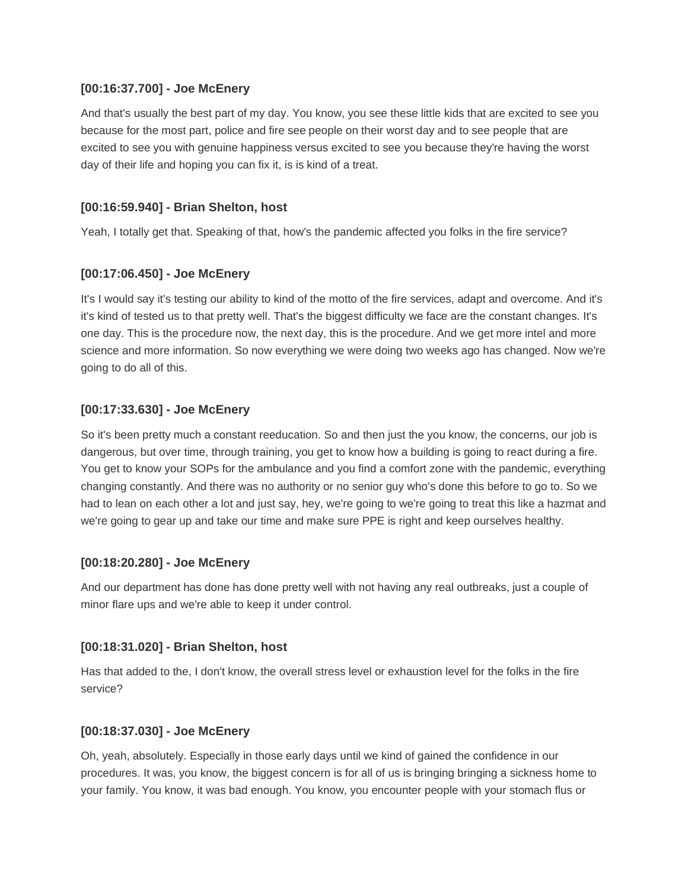### **[00:16:37.700] - Joe McEnery**

And that's usually the best part of my day. You know, you see these little kids that are excited to see you because for the most part, police and fire see people on their worst day and to see people that are excited to see you with genuine happiness versus excited to see you because they're having the worst day of their life and hoping you can fix it, is is kind of a treat.

### **[00:16:59.940] - Brian Shelton, host**

Yeah, I totally get that. Speaking of that, how's the pandemic affected you folks in the fire service?

### **[00:17:06.450] - Joe McEnery**

It's I would say it's testing our ability to kind of the motto of the fire services, adapt and overcome. And it's it's kind of tested us to that pretty well. That's the biggest difficulty we face are the constant changes. It's one day. This is the procedure now, the next day, this is the procedure. And we get more intel and more science and more information. So now everything we were doing two weeks ago has changed. Now we're going to do all of this.

### **[00:17:33.630] - Joe McEnery**

So it's been pretty much a constant reeducation. So and then just the you know, the concerns, our job is dangerous, but over time, through training, you get to know how a building is going to react during a fire. You get to know your SOPs for the ambulance and you find a comfort zone with the pandemic, everything changing constantly. And there was no authority or no senior guy who's done this before to go to. So we had to lean on each other a lot and just say, hey, we're going to we're going to treat this like a hazmat and we're going to gear up and take our time and make sure PPE is right and keep ourselves healthy.

#### **[00:18:20.280] - Joe McEnery**

And our department has done has done pretty well with not having any real outbreaks, just a couple of minor flare ups and we're able to keep it under control.

#### **[00:18:31.020] - Brian Shelton, host**

Has that added to the, I don't know, the overall stress level or exhaustion level for the folks in the fire service?

#### **[00:18:37.030] - Joe McEnery**

Oh, yeah, absolutely. Especially in those early days until we kind of gained the confidence in our procedures. It was, you know, the biggest concern is for all of us is bringing bringing a sickness home to your family. You know, it was bad enough. You know, you encounter people with your stomach flus or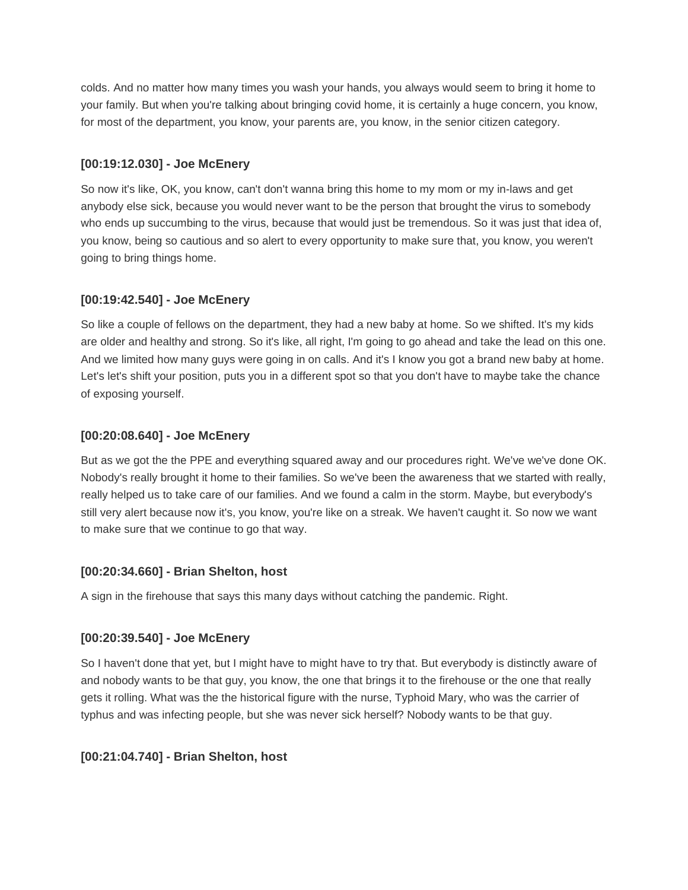colds. And no matter how many times you wash your hands, you always would seem to bring it home to your family. But when you're talking about bringing covid home, it is certainly a huge concern, you know, for most of the department, you know, your parents are, you know, in the senior citizen category.

# **[00:19:12.030] - Joe McEnery**

So now it's like, OK, you know, can't don't wanna bring this home to my mom or my in-laws and get anybody else sick, because you would never want to be the person that brought the virus to somebody who ends up succumbing to the virus, because that would just be tremendous. So it was just that idea of, you know, being so cautious and so alert to every opportunity to make sure that, you know, you weren't going to bring things home.

# **[00:19:42.540] - Joe McEnery**

So like a couple of fellows on the department, they had a new baby at home. So we shifted. It's my kids are older and healthy and strong. So it's like, all right, I'm going to go ahead and take the lead on this one. And we limited how many guys were going in on calls. And it's I know you got a brand new baby at home. Let's let's shift your position, puts you in a different spot so that you don't have to maybe take the chance of exposing yourself.

# **[00:20:08.640] - Joe McEnery**

But as we got the the PPE and everything squared away and our procedures right. We've we've done OK. Nobody's really brought it home to their families. So we've been the awareness that we started with really, really helped us to take care of our families. And we found a calm in the storm. Maybe, but everybody's still very alert because now it's, you know, you're like on a streak. We haven't caught it. So now we want to make sure that we continue to go that way.

# **[00:20:34.660] - Brian Shelton, host**

A sign in the firehouse that says this many days without catching the pandemic. Right.

# **[00:20:39.540] - Joe McEnery**

So I haven't done that yet, but I might have to might have to try that. But everybody is distinctly aware of and nobody wants to be that guy, you know, the one that brings it to the firehouse or the one that really gets it rolling. What was the the historical figure with the nurse, Typhoid Mary, who was the carrier of typhus and was infecting people, but she was never sick herself? Nobody wants to be that guy.

# **[00:21:04.740] - Brian Shelton, host**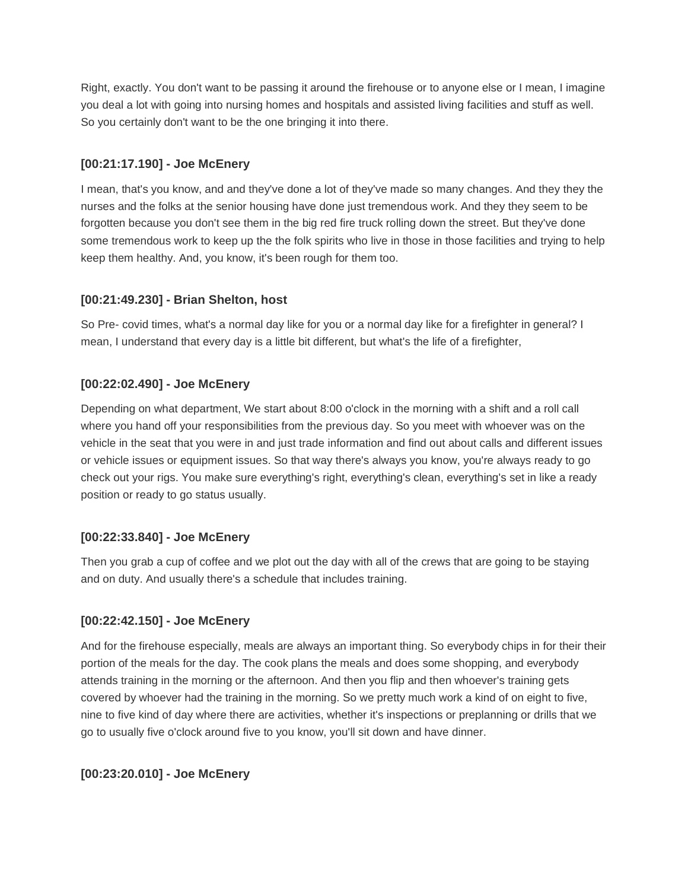Right, exactly. You don't want to be passing it around the firehouse or to anyone else or I mean, I imagine you deal a lot with going into nursing homes and hospitals and assisted living facilities and stuff as well. So you certainly don't want to be the one bringing it into there.

# **[00:21:17.190] - Joe McEnery**

I mean, that's you know, and and they've done a lot of they've made so many changes. And they they the nurses and the folks at the senior housing have done just tremendous work. And they they seem to be forgotten because you don't see them in the big red fire truck rolling down the street. But they've done some tremendous work to keep up the the folk spirits who live in those in those facilities and trying to help keep them healthy. And, you know, it's been rough for them too.

# **[00:21:49.230] - Brian Shelton, host**

So Pre- covid times, what's a normal day like for you or a normal day like for a firefighter in general? I mean, I understand that every day is a little bit different, but what's the life of a firefighter,

# **[00:22:02.490] - Joe McEnery**

Depending on what department, We start about 8:00 o'clock in the morning with a shift and a roll call where you hand off your responsibilities from the previous day. So you meet with whoever was on the vehicle in the seat that you were in and just trade information and find out about calls and different issues or vehicle issues or equipment issues. So that way there's always you know, you're always ready to go check out your rigs. You make sure everything's right, everything's clean, everything's set in like a ready position or ready to go status usually.

# **[00:22:33.840] - Joe McEnery**

Then you grab a cup of coffee and we plot out the day with all of the crews that are going to be staying and on duty. And usually there's a schedule that includes training.

# **[00:22:42.150] - Joe McEnery**

And for the firehouse especially, meals are always an important thing. So everybody chips in for their their portion of the meals for the day. The cook plans the meals and does some shopping, and everybody attends training in the morning or the afternoon. And then you flip and then whoever's training gets covered by whoever had the training in the morning. So we pretty much work a kind of on eight to five, nine to five kind of day where there are activities, whether it's inspections or preplanning or drills that we go to usually five o'clock around five to you know, you'll sit down and have dinner.

# **[00:23:20.010] - Joe McEnery**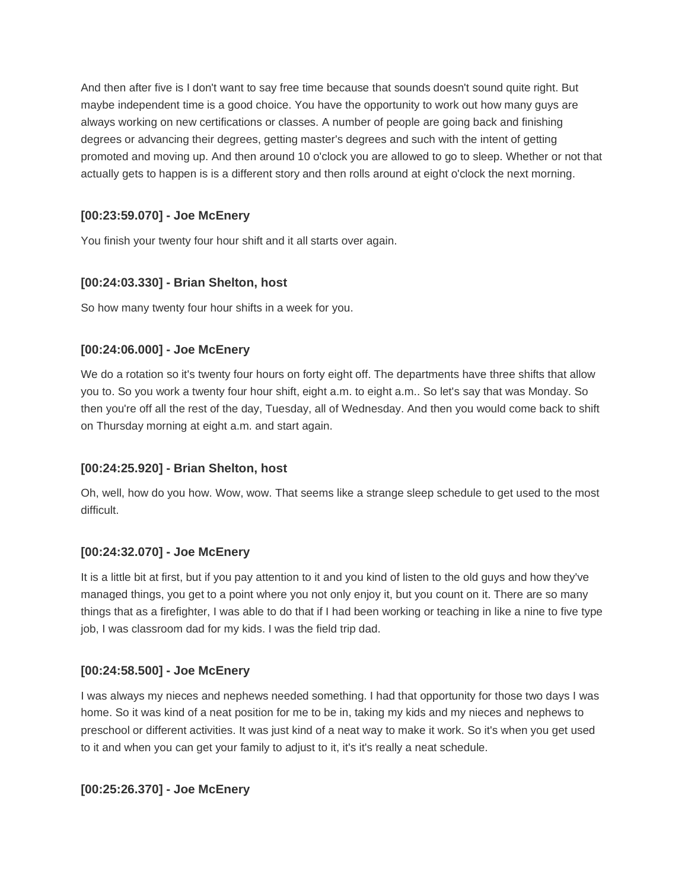And then after five is I don't want to say free time because that sounds doesn't sound quite right. But maybe independent time is a good choice. You have the opportunity to work out how many guys are always working on new certifications or classes. A number of people are going back and finishing degrees or advancing their degrees, getting master's degrees and such with the intent of getting promoted and moving up. And then around 10 o'clock you are allowed to go to sleep. Whether or not that actually gets to happen is is a different story and then rolls around at eight o'clock the next morning.

# **[00:23:59.070] - Joe McEnery**

You finish your twenty four hour shift and it all starts over again.

# **[00:24:03.330] - Brian Shelton, host**

So how many twenty four hour shifts in a week for you.

# **[00:24:06.000] - Joe McEnery**

We do a rotation so it's twenty four hours on forty eight off. The departments have three shifts that allow you to. So you work a twenty four hour shift, eight a.m. to eight a.m.. So let's say that was Monday. So then you're off all the rest of the day, Tuesday, all of Wednesday. And then you would come back to shift on Thursday morning at eight a.m. and start again.

# **[00:24:25.920] - Brian Shelton, host**

Oh, well, how do you how. Wow, wow. That seems like a strange sleep schedule to get used to the most difficult.

# **[00:24:32.070] - Joe McEnery**

It is a little bit at first, but if you pay attention to it and you kind of listen to the old guys and how they've managed things, you get to a point where you not only enjoy it, but you count on it. There are so many things that as a firefighter, I was able to do that if I had been working or teaching in like a nine to five type job, I was classroom dad for my kids. I was the field trip dad.

# **[00:24:58.500] - Joe McEnery**

I was always my nieces and nephews needed something. I had that opportunity for those two days I was home. So it was kind of a neat position for me to be in, taking my kids and my nieces and nephews to preschool or different activities. It was just kind of a neat way to make it work. So it's when you get used to it and when you can get your family to adjust to it, it's it's really a neat schedule.

**[00:25:26.370] - Joe McEnery**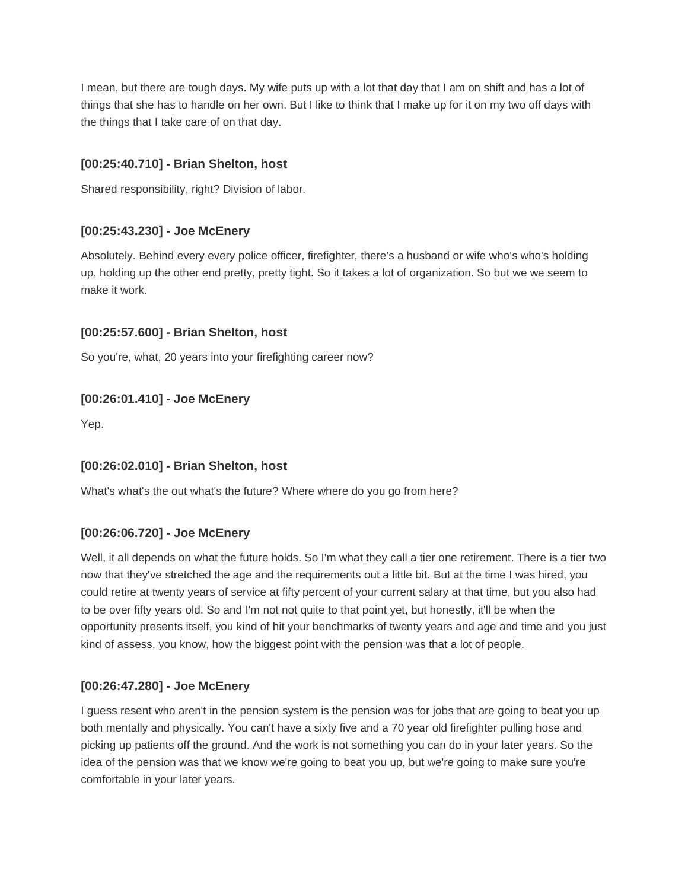I mean, but there are tough days. My wife puts up with a lot that day that I am on shift and has a lot of things that she has to handle on her own. But I like to think that I make up for it on my two off days with the things that I take care of on that day.

# **[00:25:40.710] - Brian Shelton, host**

Shared responsibility, right? Division of labor.

# **[00:25:43.230] - Joe McEnery**

Absolutely. Behind every every police officer, firefighter, there's a husband or wife who's who's holding up, holding up the other end pretty, pretty tight. So it takes a lot of organization. So but we we seem to make it work.

# **[00:25:57.600] - Brian Shelton, host**

So you're, what, 20 years into your firefighting career now?

# **[00:26:01.410] - Joe McEnery**

Yep.

# **[00:26:02.010] - Brian Shelton, host**

What's what's the out what's the future? Where where do you go from here?

# **[00:26:06.720] - Joe McEnery**

Well, it all depends on what the future holds. So I'm what they call a tier one retirement. There is a tier two now that they've stretched the age and the requirements out a little bit. But at the time I was hired, you could retire at twenty years of service at fifty percent of your current salary at that time, but you also had to be over fifty years old. So and I'm not not quite to that point yet, but honestly, it'll be when the opportunity presents itself, you kind of hit your benchmarks of twenty years and age and time and you just kind of assess, you know, how the biggest point with the pension was that a lot of people.

# **[00:26:47.280] - Joe McEnery**

I guess resent who aren't in the pension system is the pension was for jobs that are going to beat you up both mentally and physically. You can't have a sixty five and a 70 year old firefighter pulling hose and picking up patients off the ground. And the work is not something you can do in your later years. So the idea of the pension was that we know we're going to beat you up, but we're going to make sure you're comfortable in your later years.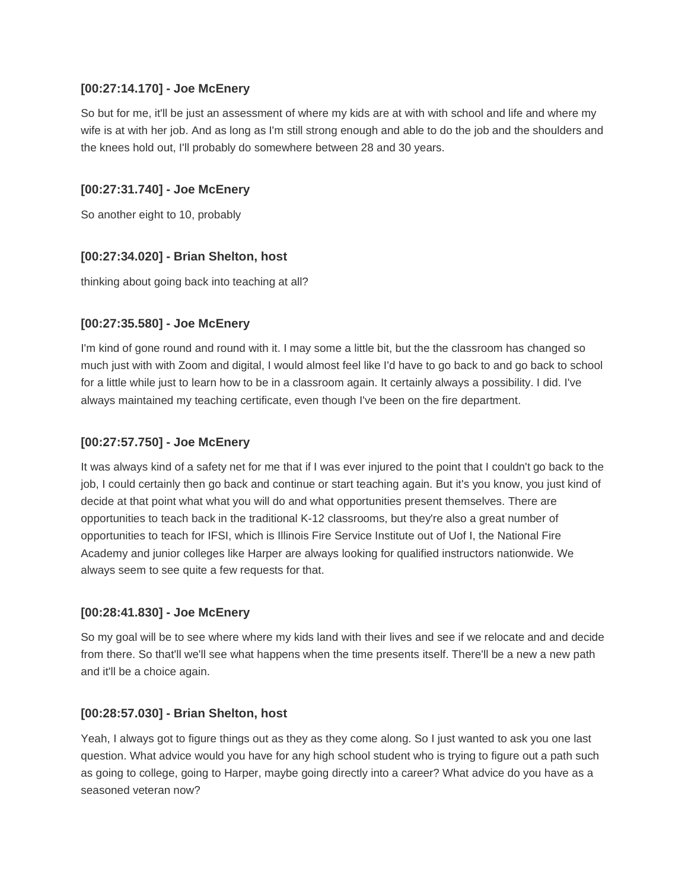### **[00:27:14.170] - Joe McEnery**

So but for me, it'll be just an assessment of where my kids are at with with school and life and where my wife is at with her job. And as long as I'm still strong enough and able to do the job and the shoulders and the knees hold out, I'll probably do somewhere between 28 and 30 years.

# **[00:27:31.740] - Joe McEnery**

So another eight to 10, probably

# **[00:27:34.020] - Brian Shelton, host**

thinking about going back into teaching at all?

# **[00:27:35.580] - Joe McEnery**

I'm kind of gone round and round with it. I may some a little bit, but the the classroom has changed so much just with with Zoom and digital, I would almost feel like I'd have to go back to and go back to school for a little while just to learn how to be in a classroom again. It certainly always a possibility. I did. I've always maintained my teaching certificate, even though I've been on the fire department.

# **[00:27:57.750] - Joe McEnery**

It was always kind of a safety net for me that if I was ever injured to the point that I couldn't go back to the job, I could certainly then go back and continue or start teaching again. But it's you know, you just kind of decide at that point what what you will do and what opportunities present themselves. There are opportunities to teach back in the traditional K-12 classrooms, but they're also a great number of opportunities to teach for IFSI, which is Illinois Fire Service Institute out of Uof I, the National Fire Academy and junior colleges like Harper are always looking for qualified instructors nationwide. We always seem to see quite a few requests for that.

# **[00:28:41.830] - Joe McEnery**

So my goal will be to see where where my kids land with their lives and see if we relocate and and decide from there. So that'll we'll see what happens when the time presents itself. There'll be a new a new path and it'll be a choice again.

# **[00:28:57.030] - Brian Shelton, host**

Yeah, I always got to figure things out as they as they come along. So I just wanted to ask you one last question. What advice would you have for any high school student who is trying to figure out a path such as going to college, going to Harper, maybe going directly into a career? What advice do you have as a seasoned veteran now?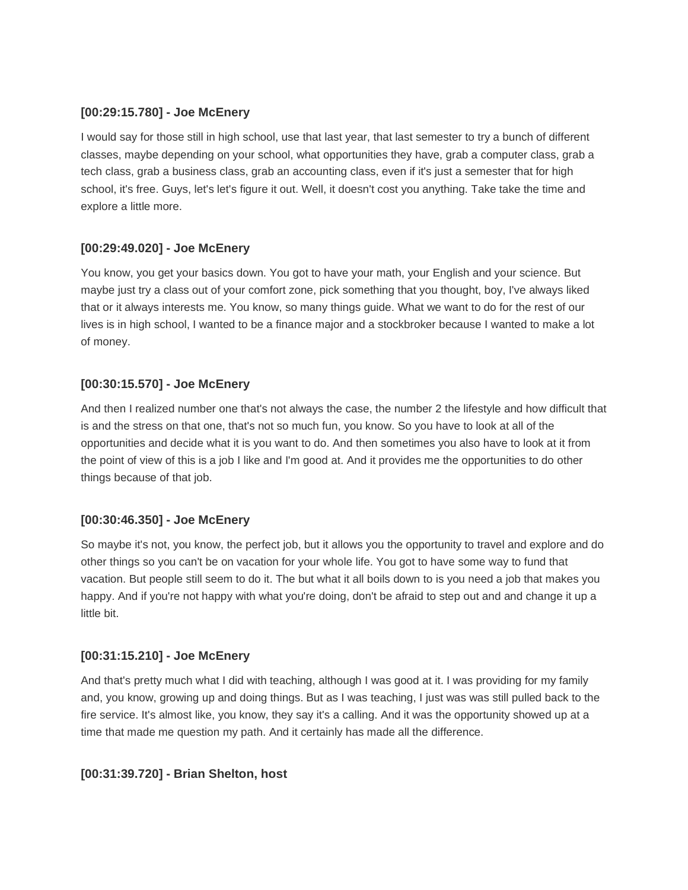# **[00:29:15.780] - Joe McEnery**

I would say for those still in high school, use that last year, that last semester to try a bunch of different classes, maybe depending on your school, what opportunities they have, grab a computer class, grab a tech class, grab a business class, grab an accounting class, even if it's just a semester that for high school, it's free. Guys, let's let's figure it out. Well, it doesn't cost you anything. Take take the time and explore a little more.

# **[00:29:49.020] - Joe McEnery**

You know, you get your basics down. You got to have your math, your English and your science. But maybe just try a class out of your comfort zone, pick something that you thought, boy, I've always liked that or it always interests me. You know, so many things guide. What we want to do for the rest of our lives is in high school, I wanted to be a finance major and a stockbroker because I wanted to make a lot of money.

# **[00:30:15.570] - Joe McEnery**

And then I realized number one that's not always the case, the number 2 the lifestyle and how difficult that is and the stress on that one, that's not so much fun, you know. So you have to look at all of the opportunities and decide what it is you want to do. And then sometimes you also have to look at it from the point of view of this is a job I like and I'm good at. And it provides me the opportunities to do other things because of that job.

# **[00:30:46.350] - Joe McEnery**

So maybe it's not, you know, the perfect job, but it allows you the opportunity to travel and explore and do other things so you can't be on vacation for your whole life. You got to have some way to fund that vacation. But people still seem to do it. The but what it all boils down to is you need a job that makes you happy. And if you're not happy with what you're doing, don't be afraid to step out and and change it up a little bit.

# **[00:31:15.210] - Joe McEnery**

And that's pretty much what I did with teaching, although I was good at it. I was providing for my family and, you know, growing up and doing things. But as I was teaching, I just was was still pulled back to the fire service. It's almost like, you know, they say it's a calling. And it was the opportunity showed up at a time that made me question my path. And it certainly has made all the difference.

# **[00:31:39.720] - Brian Shelton, host**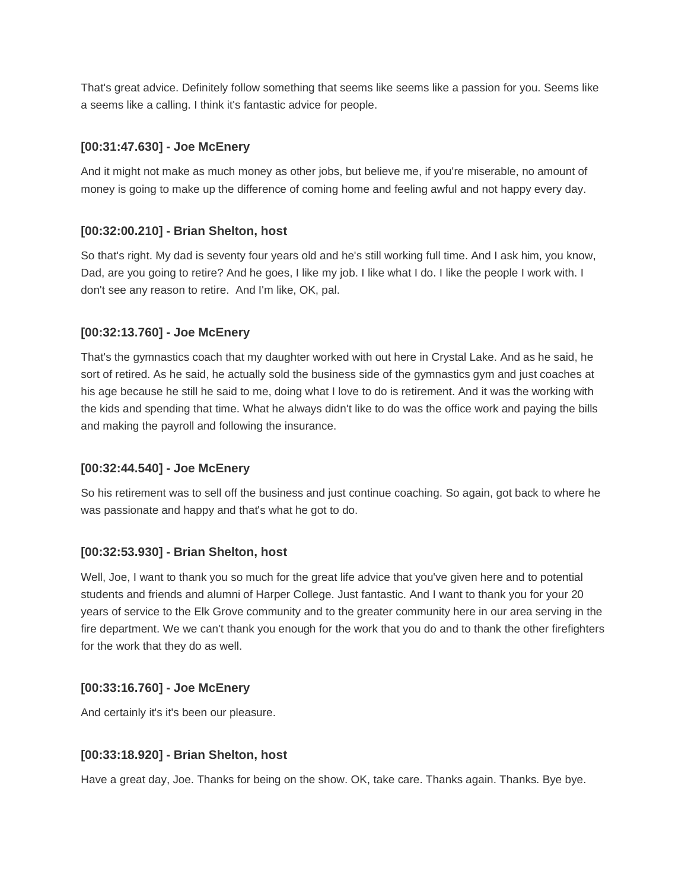That's great advice. Definitely follow something that seems like seems like a passion for you. Seems like a seems like a calling. I think it's fantastic advice for people.

# **[00:31:47.630] - Joe McEnery**

And it might not make as much money as other jobs, but believe me, if you're miserable, no amount of money is going to make up the difference of coming home and feeling awful and not happy every day.

# **[00:32:00.210] - Brian Shelton, host**

So that's right. My dad is seventy four years old and he's still working full time. And I ask him, you know, Dad, are you going to retire? And he goes, I like my job. I like what I do. I like the people I work with. I don't see any reason to retire. And I'm like, OK, pal.

# **[00:32:13.760] - Joe McEnery**

That's the gymnastics coach that my daughter worked with out here in Crystal Lake. And as he said, he sort of retired. As he said, he actually sold the business side of the gymnastics gym and just coaches at his age because he still he said to me, doing what I love to do is retirement. And it was the working with the kids and spending that time. What he always didn't like to do was the office work and paying the bills and making the payroll and following the insurance.

# **[00:32:44.540] - Joe McEnery**

So his retirement was to sell off the business and just continue coaching. So again, got back to where he was passionate and happy and that's what he got to do.

# **[00:32:53.930] - Brian Shelton, host**

Well, Joe, I want to thank you so much for the great life advice that you've given here and to potential students and friends and alumni of Harper College. Just fantastic. And I want to thank you for your 20 years of service to the Elk Grove community and to the greater community here in our area serving in the fire department. We we can't thank you enough for the work that you do and to thank the other firefighters for the work that they do as well.

# **[00:33:16.760] - Joe McEnery**

And certainly it's it's been our pleasure.

# **[00:33:18.920] - Brian Shelton, host**

Have a great day, Joe. Thanks for being on the show. OK, take care. Thanks again. Thanks. Bye bye.